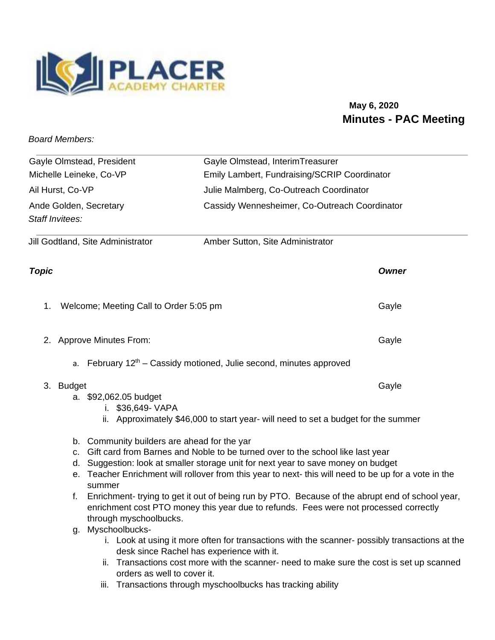

## **May 6, 2020 Minutes - PAC Meeting**

*Board Members:* 

|                                                      |                                                                                                                                                                                                                                                                                                                                                                                                                                                                                                                                                                          | Gayle Olmstead, InterimTreasurer                                                         |              |
|------------------------------------------------------|--------------------------------------------------------------------------------------------------------------------------------------------------------------------------------------------------------------------------------------------------------------------------------------------------------------------------------------------------------------------------------------------------------------------------------------------------------------------------------------------------------------------------------------------------------------------------|------------------------------------------------------------------------------------------|--------------|
| Gayle Olmstead, President<br>Michelle Leineke, Co-VP |                                                                                                                                                                                                                                                                                                                                                                                                                                                                                                                                                                          | Emily Lambert, Fundraising/SCRIP Coordinator                                             |              |
|                                                      |                                                                                                                                                                                                                                                                                                                                                                                                                                                                                                                                                                          |                                                                                          |              |
| Ail Hurst, Co-VP<br>Ande Golden, Secretary           |                                                                                                                                                                                                                                                                                                                                                                                                                                                                                                                                                                          | Julie Malmberg, Co-Outreach Coordinator<br>Cassidy Wennesheimer, Co-Outreach Coordinator |              |
|                                                      |                                                                                                                                                                                                                                                                                                                                                                                                                                                                                                                                                                          |                                                                                          |              |
|                                                      | Jill Godtland, Site Administrator                                                                                                                                                                                                                                                                                                                                                                                                                                                                                                                                        | Amber Sutton, Site Administrator                                                         |              |
| <b>Topic</b>                                         |                                                                                                                                                                                                                                                                                                                                                                                                                                                                                                                                                                          |                                                                                          | <b>Owner</b> |
| 1.                                                   | Welcome; Meeting Call to Order 5:05 pm                                                                                                                                                                                                                                                                                                                                                                                                                                                                                                                                   |                                                                                          | Gayle        |
| 2.                                                   | <b>Approve Minutes From:</b>                                                                                                                                                                                                                                                                                                                                                                                                                                                                                                                                             |                                                                                          | Gayle        |
|                                                      |                                                                                                                                                                                                                                                                                                                                                                                                                                                                                                                                                                          | a. February $12th$ - Cassidy motioned, Julie second, minutes approved                    |              |
|                                                      | 3. Budget<br>a. \$92,062.05 budget<br>i. \$36,649- VAPA                                                                                                                                                                                                                                                                                                                                                                                                                                                                                                                  | ii. Approximately \$46,000 to start year- will need to set a budget for the summer       | Gayle        |
|                                                      | b. Community builders are ahead for the yar<br>Gift card from Barnes and Noble to be turned over to the school like last year<br>$C-$<br>d. Suggestion: look at smaller storage unit for next year to save money on budget<br>e. Teacher Enrichment will rollover from this year to next- this will need to be up for a vote in the<br>summer<br>Enrichment-trying to get it out of being run by PTO. Because of the abrupt end of school year,<br>f.<br>enrichment cost PTO money this year due to refunds. Fees were not processed correctly<br>through myschoolbucks. |                                                                                          |              |

- g. Myschoolbucks
	- i. Look at using it more often for transactions with the scanner- possibly transactions at the desk since Rachel has experience with it.
	- ii. Transactions cost more with the scanner- need to make sure the cost is set up scanned orders as well to cover it.
	- iii. Transactions through myschoolbucks has tracking ability